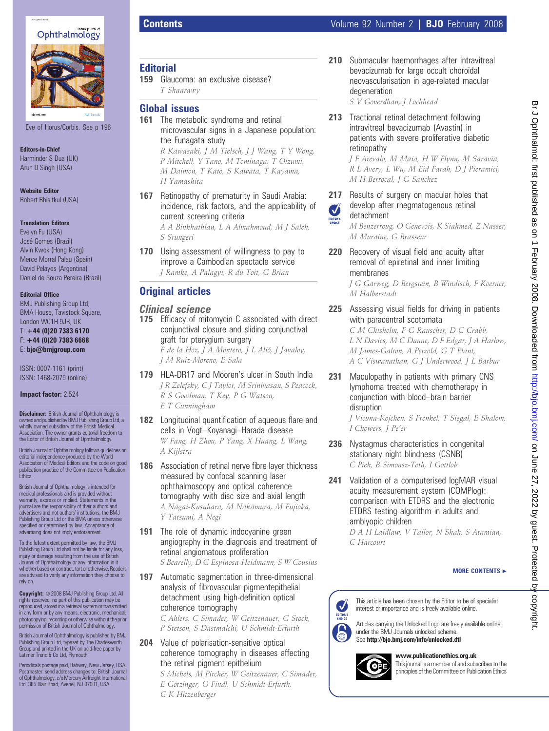

Eye of Horus/Corbis. See p 196

Editors-in-Chief Harminder S Dua (UK) Arun D Singh (USA)

Website Editor Robert Bhisitkul (USA)

### Translation Editors

Evelyn Fu (USA) José Gomes (Brazil) Alvin Kwok (Hong Kong) Merce Morral Palau (Spain) David Pelayes (Argentina) Daniel de Souza Pereira (Brazil)

#### Editorial Office

BMJ Publishing Group Ltd, BMA House, Tavistock Square, London WC1H 9JR, UK T: +44 (0)20 7383 6170 F: +44 (0)20 7383 6668 E: bjo@bmjgroup.com

ISSN: 0007-1161 (print) ISSN: 1468-2079 (online)

#### Impact factor: 2.524

**Disclaimer:** British Journal of Ophthalmology is ownedandpublished by BMJ PublishingGroup Ltd, a wholly owned subsidiary of the British Medical Association. The owner grants editorial freedom to the Editor of British Journal of Ophthalmology.

British Journal of Ophthalmology follows guidelines on editorial independence produced by the World Association of Medical Editors and the code on good publication practice of the Committee on Publication Ethics.

British Journal of Ophthalmology is intended for medical professionals and is provided without warranty, express or implied. Statements in the journal are the responsibility of their authors and advertisers and not authors' institutions, the BMJ Publishing Group Ltd or the BMA unless otherwise specified or determined by law. Acceptance of advertising does not imply endorsement.

To the fullest extent permitted by law, the BMJ Publishing Group Ltd shall not be liable for any loss, injury or damage resulting from the use of British Journal of Ophthalmology or any information in it whether based on contract, tort or otherwise. Readers are advised to verify any information they choose to rely on.

 $Copyright: © 2008 BMJ Publishing Group Ltd. All$ rights reserved; no part of this publication may be reproduced, stored in a retrieval system or transmitted in any form or by any means, electronic, mechanical, photocopying, recordingorotherwise without theprior permission of British Journal of Ophthalmology.

British Journal of Ophthalmology is published by BMJ Publishing Group Ltd, typeset by The Charlesworth Group and printed in the UK on acid-free paper by Latimer Trend & Co Ltd, Plymouth.

Periodicals postage paid, Rahway, New Jersey, USA. Postmaster: send address changes to: British Journal of Ophthalmology, c/o Mercury Airfreight International Ltd, 365 Blair Road, Avenel, NJ 07001, USA.

### **Editorial**

159 Glaucoma: an exclusive disease? T Shaarawy

## Global issues

161 The metabolic syndrome and retinal microvascular signs in a Japanese population: the Funagata study

R Kawasaki, J M Tielsch, J J Wang, T Y Wong, P Mitchell, Y Tano, M Tominaga, T Oizumi, M Daimon, T Kato, S Kawata, T Kayama, H Yamashita

167 Retinopathy of prematurity in Saudi Arabia: incidence, risk factors, and the applicability of current screening criteria

A A Binkhathlan, L A Almahmoud, M J Saleh, S Srungeri

170 Using assessment of willingness to pay to improve a Cambodian spectacle service J Ramke, A Palagyi, R du Toit, G Brian

## Original articles

### Clinical science

175 Efficacy of mitomycin C associated with direct conjunctival closure and sliding conjunctival graft for pterygium surgery

F de la Hoz, J A Montero, J L Alió, J Javaloy, J M Ruiz-Moreno, E Sala

- 179 HLA-DR17 and Mooren's ulcer in South India J R Zelefsky, C J Taylor, M Srinivasan, S Peacock, R S Goodman, T Key, P G Watson, E T Cunningham
- 182 Longitudinal quantification of aqueous flare and cells in Vogt–Koyanagi–Harada disease W Fang, H Zhou, P Yang, X Huang, L Wang, A Kijlstra
- 186 Association of retinal nerve fibre layer thickness measured by confocal scanning laser ophthalmoscopy and optical coherence tomography with disc size and axial length A Nagai-Kusuhara, M Nakamura, M Fujioka, Y Tatsumi, A Negi
- 191 The role of dynamic indocyanine green angiography in the diagnosis and treatment of retinal angiomatous proliferation S Bearelly, D G Espinosa-Heidmann, S W Cousins
- 197 Automatic segmentation in three-dimensional analysis of fibrovascular pigmentepithelial detachment using high-definition optical coherence tomography C Ahlers, C Simader, W Geitzenauer, G Stock,

P Stetson, S Dastmalchi, U Schmidt-Erfurth

204 Value of polarisation-sensitive optical coherence tomography in diseases affecting the retinal pigment epithelium

S Michels, M Pircher, W Geitzenauer, C Simader, E Götzinger, O Findl, U Schmidt-Erfurth, C K Hitzenberger

210 Submacular haemorrhages after intravitreal bevacizumab for large occult choroidal neovascularisation in age-related macular degeneration

S V Goverdhan, J Lochhead

213 Tractional retinal detachment following intravitreal bevacizumab (Avastin) in patients with severe proliferative diabetic retinopathy

> J F Arevalo, M Maia, H W Flynn, M Saravia, R L Avery, L Wu, M Eid Farah, D J Pieramici, M H Berrocal, J G Sanchez

217 Results of surgery on macular holes that develop after rhegmatogenous retinal Ø

detachment

M Halberstadt

M Benzerroug, O Genevois, K Siahmed, Z Nasser, M Muraine, G Brasseur

220 Recovery of visual field and acuity after removal of epiretinal and inner limiting membranes J G Garweg, D Bergstein, B Windisch, F Koerner,

# 225 Assessing visual fields for driving in patients with paracentral scotomata

C M Chisholm, F G Rauscher, D C Crabb, L N Davies, M C Dunne, D F Edgar, J A Harlow, M James-Galton, A Petzold, G T Plant, A C Viswanathan, G J Underwood, J L Barbur

231 Maculopathy in patients with primary CNS lymphoma treated with chemotherapy in conjunction with blood–brain barrier disruption

J Vicuna-Kojchen, S Frenkel, T Siegal, E Shalom, I Chowers, J Pe'er

- 236 Nystagmus characteristics in congenital stationary night blindness (CSNB) C Pieh, B Simonsz-Toth, I Gottlob
- 241 Validation of a computerised logMAR visual acuity measurement system (COMPlog): comparison with ETDRS and the electronic ETDRS testing algorithm in adults and amblyopic children

D A H Laidlaw, V Tailor, N Shah, S Atamian, C Harcourt

### MORE CONTENTS  $\blacktriangleright$

This article has been chosen by the Editor to be of specialist interest or importance and is freely available online.

Articles carrying the Unlocked Logo are freely available online under the BMJ Journals unlocked scheme. See http://bjo.bmj.com/info/unlocked.dtl



EDITOR'S  $\int_{0}^{1}$ 

www.publicationethics.org.uk

This journal is a member of and subscribes to the principles of the Committee on Publication Ethics